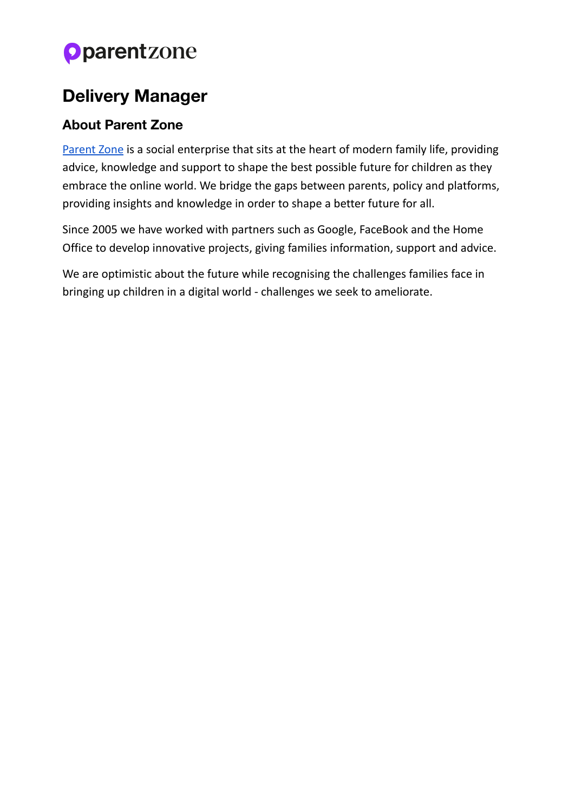# **Oparentzone**

### **Delivery Manager**

### **About Parent Zone**

[Parent](https://parentzone.org.uk/home) Zone is a social enterprise that sits at the heart of modern family life, providing advice, knowledge and support to shape the best possible future for children as they embrace the online world. We bridge the gaps between parents, policy and platforms, providing insights and knowledge in order to shape a better future for all.

Since 2005 we have worked with partners such as Google, FaceBook and the Home Office to develop innovative projects, giving families information, support and advice.

We are optimistic about the future while recognising the challenges families face in bringing up children in a digital world - challenges we seek to ameliorate.